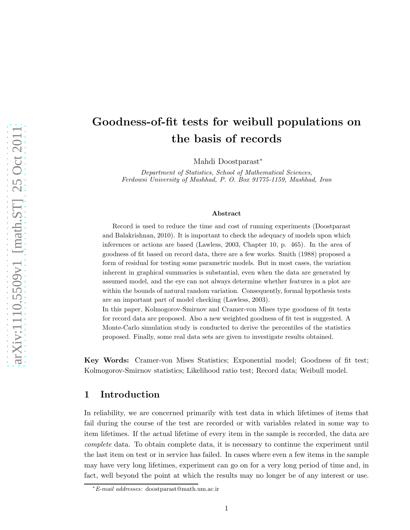# Goodness-of-fit tests for weibull populations on the basis of records

Mahdi Doostparast<sup>∗</sup>

*Department of Statistics, School of Mathematical Sciences, Ferdowsi University of Mashhad, P. O. Box 91775-1159, Mashhad, Iran*

#### Abstract

Record is used to reduce the time and cost of running experiments (Doostparast and Balakrishnan, 2010). It is important to check the adequacy of models upon which inferences or actions are based (Lawless, 2003, Chapter 10, p. 465). In the area of goodness of fit based on record data, there are a few works. Smith (1988) proposed a form of residual for testing some parametric models. But in most cases, the variation inherent in graphical summaries is substantial, even when the data are generated by assumed model, and the eye can not always determine whether features in a plot are within the bounds of natural random variation. Consequently, formal hypothesis tests are an important part of model checking (Lawless, 2003).

In this paper, Kolmogorov-Smirnov and Cramer-von Mises type goodness of fit tests for record data are proposed. Also a new weighted goodness of fit test is suggested. A Monte-Carlo simulation study is conducted to derive the percentiles of the statistics proposed. Finally, some real data sets are given to investigate results obtained.

Key Words: Cramer-von Mises Statistics; Exponential model; Goodness of fit test; Kolmogorov-Smirnov statistics; Likelihood ratio test; Record data; Weibull model.

## 1 Introduction

In reliability, we are concerned primarily with test data in which lifetimes of items that fail during the course of the test are recorded or with variables related in some way to item lifetimes. If the actual lifetime of every item in the sample is recorded, the data are *complete* data. To obtain complete data, it is necessary to continue the experiment until the last item on test or in service has failed. In cases where even a few items in the sample may have very long lifetimes, experiment can go on for a very long period of time and, in fact, well beyond the point at which the results may no longer be of any interest or use.

<sup>∗</sup>E-mail addresses: doostparast@math.um.ac.ir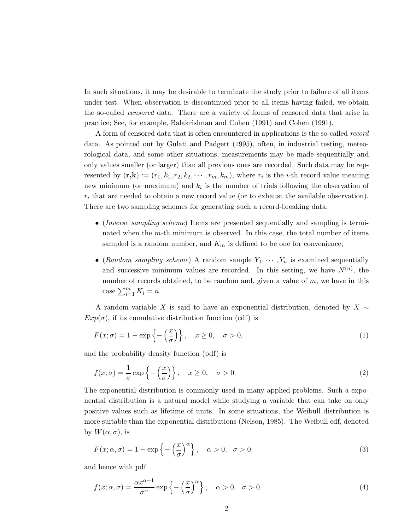In such situations, it may be desirable to terminate the study prior to failure of all items under test. When observation is discontinued prior to all items having failed, we obtain the so-called *censored* data. There are a variety of forms of censored data that arise in practice; See, for example, Balakrishnan and Cohen (1991) and Cohen (1991).

A form of censored data that is often encountered in applications is the so-called *record* data. As pointed out by Gulati and Padgett (1995), often, in industrial testing, meteorological data, and some other situations, measurements may be made sequentially and only values smaller (or larger) than all previous ones are recorded. Such data may be represented by  $(\mathbf{r},\mathbf{k}) := (r_1,k_1,r_2,k_2,\cdots,r_m,k_m)$ , where  $r_i$  is the *i*-th record value meaning new minimum (or maximum) and  $k_i$  is the number of trials following the observation of  $r_i$  that are needed to obtain a new record value (or to exhaust the available observation). There are two sampling schemes for generating such a record-breaking data:

- (*Inverse sampling scheme*) Items are presented sequentially and sampling is terminated when the m-th minimum is observed. In this case, the total number of items sampled is a random number, and  $K_m$  is defined to be one for convenience;
- (*Random sampling scheme*) A random sample  $Y_1, \dots, Y_n$  is examined sequentially and successive minimum values are recorded. In this setting, we have  $N^{(n)}$ , the number of records obtained, to be random and, given a value of m, we have in this case  $\sum_{i=1}^{m} K_i = n$ .

A random variable X is said to have an exponential distribution, denoted by  $X \sim$  $Exp(\sigma)$ , if its cumulative distribution function (cdf) is

$$
F(x; \sigma) = 1 - \exp\left\{-\left(\frac{x}{\sigma}\right)\right\}, \quad x \ge 0, \quad \sigma > 0,
$$
\n(1)

and the probability density function (pdf) is

$$
f(x; \sigma) = \frac{1}{\sigma} \exp\left\{-\left(\frac{x}{\sigma}\right)\right\}, \quad x \ge 0, \quad \sigma > 0.
$$
 (2)

The exponential distribution is commonly used in many applied problems. Such a exponential distribution is a natural model while studying a variable that can take on only positive values such as lifetime of units. In some situations, the Weibull distribution is more suitable than the exponential distributions (Nelson, 1985). The Weibull cdf, denoted by  $W(\alpha, \sigma)$ , is

<span id="page-1-0"></span>
$$
F(x; \alpha, \sigma) = 1 - \exp\left\{-\left(\frac{x}{\sigma}\right)^{\alpha}\right\}, \quad \alpha > 0, \quad \sigma > 0,
$$
\n(3)

and hence with pdf

<span id="page-1-1"></span>
$$
f(x; \alpha, \sigma) = \frac{\alpha x^{\alpha - 1}}{\sigma^{\alpha}} \exp\left\{-\left(\frac{x}{\sigma}\right)^{\alpha}\right\}, \quad \alpha > 0, \quad \sigma > 0.
$$
 (4)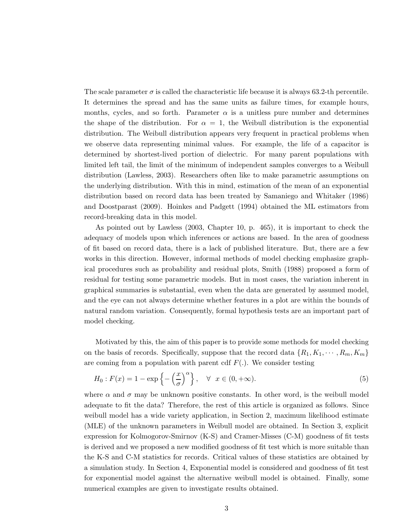The scale parameter  $\sigma$  is called the characteristic life because it is always 63.2-th percentile. It determines the spread and has the same units as failure times, for example hours, months, cycles, and so forth. Parameter  $\alpha$  is a unitless pure number and determines the shape of the distribution. For  $\alpha = 1$ , the Weibull distribution is the exponential distribution. The Weibull distribution appears very frequent in practical problems when we observe data representing minimal values. For example, the life of a capacitor is determined by shortest-lived portion of dielectric. For many parent populations with limited left tail, the limit of the minimum of independent samples converges to a Weibull distribution (Lawless, 2003). Researchers often like to make parametric assumptions on the underlying distribution. With this in mind, estimation of the mean of an exponential distribution based on record data has been treated by Samaniego and Whitaker (1986) and Doostparast (2009). Hoinkes and Padgett (1994) obtained the ML estimators from record-breaking data in this model.

As pointed out by Lawless (2003, Chapter 10, p. 465), it is important to check the adequacy of models upon which inferences or actions are based. In the area of goodness of fit based on record data, there is a lack of published literature. But, there are a few works in this direction. However, informal methods of model checking emphasize graphical procedures such as probability and residual plots, Smith (1988) proposed a form of residual for testing some parametric models. But in most cases, the variation inherent in graphical summaries is substantial, even when the data are generated by assumed model, and the eye can not always determine whether features in a plot are within the bounds of natural random variation. Consequently, formal hypothesis tests are an important part of model checking.

Motivated by this, the aim of this paper is to provide some methods for model checking on the basis of records. Specifically, suppose that the record data  $\{R_1, K_1, \cdots, R_m, K_m\}$ are coming from a population with parent cdf  $F(.)$ . We consider testing

$$
H_0: F(x) = 1 - \exp\left\{-\left(\frac{x}{\sigma}\right)^{\alpha}\right\}, \quad \forall \quad x \in (0, +\infty).
$$
 (5)

where  $\alpha$  and  $\sigma$  may be unknown positive constants. In other word, is the weibull model adequate to fit the data? Therefore, the rest of this article is organized as follows. Since weibull model has a wide variety application, in Section 2, maximum likelihood estimate (MLE) of the unknown parameters in Weibull model are obtained. In Section 3, explicit expression for Kolmogorov-Smirnov (K-S) and Cramer-Misses (C-M) goodness of fit tests is derived and we proposed a new modified goodness of fit test which is more suitable than the K-S and C-M statistics for records. Critical values of these statistics are obtained by a simulation study. In Section 4, Exponential model is considered and goodness of fit test for exponential model against the alternative weibull model is obtained. Finally, some numerical examples are given to investigate results obtained.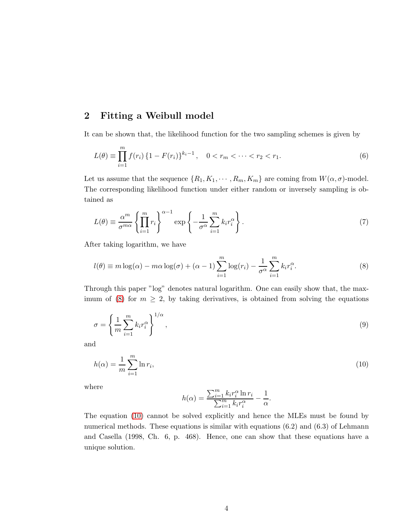# 2 Fitting a Weibull model

It can be shown that, the likelihood function for the two sampling schemes is given by

$$
L(\theta) \equiv \prod_{i=1}^{m} f(r_i) \left\{ 1 - F(r_i) \right\}^{k_i - 1}, \quad 0 < r_m < \dots < r_2 < r_1. \tag{6}
$$

Let us assume that the sequence  $\{R_1, K_1, \cdots, R_m, K_m\}$  are coming from  $W(\alpha, \sigma)$ -model. The corresponding likelihood function under either random or inversely sampling is obtained as

<span id="page-3-3"></span>
$$
L(\theta) \equiv \frac{\alpha^m}{\sigma^{m\alpha}} \left\{ \prod_{i=1}^m r_i \right\}^{\alpha - 1} \exp \left\{ -\frac{1}{\sigma^{\alpha}} \sum_{i=1}^m k_i r_i^{\alpha} \right\}.
$$
 (7)

After taking logarithm, we have

<span id="page-3-0"></span>
$$
l(\theta) \equiv m \log(\alpha) - m\alpha \log(\sigma) + (\alpha - 1) \sum_{i=1}^{m} \log(r_i) - \frac{1}{\sigma^{\alpha}} \sum_{i=1}^{m} k_i r_i^{\alpha}.
$$
 (8)

Through this paper "log" denotes natural logarithm. One can easily show that, the max-imum of [\(8\)](#page-3-0) for  $m \geq 2$ , by taking derivatives, is obtained from solving the equations

<span id="page-3-2"></span>
$$
\sigma = \left\{ \frac{1}{m} \sum_{i=1}^{m} k_i r_i^{\alpha} \right\}^{1/\alpha},\tag{9}
$$

<span id="page-3-1"></span>and

$$
h(\alpha) = \frac{1}{m} \sum_{i=1}^{m} \ln r_i,
$$
\n(10)

where

$$
h(\alpha)=\frac{\sum_{i=1}^m k_i r_i^\alpha \ln r_i}{\sum_{i=1}^m k_i r_i^\alpha}-\frac{1}{\alpha}.
$$

The equation [\(10\)](#page-3-1) cannot be solved explicitly and hence the MLEs must be found by numerical methods. These equations is similar with equations  $(6.2)$  and  $(6.3)$  of Lehmann and Casella (1998, Ch. 6, p. 468). Hence, one can show that these equations have a unique solution.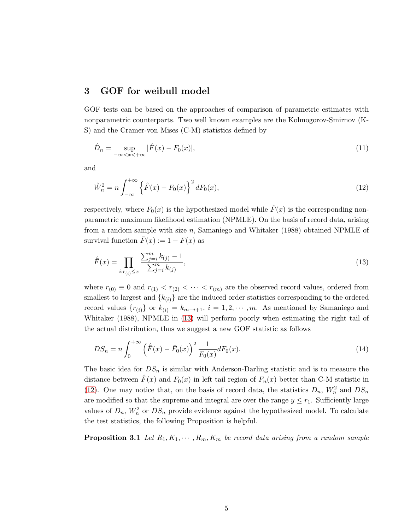## <span id="page-4-2"></span>3 GOF for weibull model

GOF tests can be based on the approaches of comparison of parametric estimates with nonparametric counterparts. Two well known examples are the Kolmogorov-Smirnov (K-S) and the Cramer-von Mises (C-M) statistics defined by

$$
\hat{D}_n = \sup_{-\infty < x < +\infty} |\hat{F}(x) - F_0(x)|,\tag{11}
$$

<span id="page-4-1"></span>and

$$
\hat{W}_n^2 = n \int_{-\infty}^{+\infty} \left\{ \hat{F}(x) - F_0(x) \right\}^2 dF_0(x),\tag{12}
$$

respectively, where  $F_0(x)$  is the hypothesized model while  $\hat{F}(x)$  is the corresponding nonparametric maximum likelihood estimation (NPMLE). On the basis of record data, arising from a random sample with size n, Samaniego and Whitaker  $(1988)$  obtained NPMLE of survival function  $\bar{F}(x) := 1 - F(x)$  as

<span id="page-4-0"></span>
$$
\hat{F}(x) = \prod_{i:r_{(i)} \le x} \frac{\sum_{j=i}^{m} k_{(j)} - 1}{\sum_{j=i}^{m} k_{(j)}},
$$
\n(13)

where  $r_{(0)} \equiv 0$  and  $r_{(1)} < r_{(2)} < \cdots < r_{(m)}$  are the observed record values, ordered from smallest to largest and  $\{k_{(i)}\}$  are the induced order statistics corresponding to the ordered record values  $\{r_{(i)}\}$  or  $k_{(i)} = k_{m-i+1}, i = 1, 2, \cdots, m$ . As mentioned by Samaniego and Whitaker (1988), NPMLE in [\(13\)](#page-4-0) will perform poorly when estimating the right tail of the actual distribution, thus we suggest a new GOF statistic as follows

$$
DS_n = n \int_0^{+\infty} \left(\hat{F}(x) - \bar{F}_0(x)\right)^2 \frac{1}{F_0(x)} dF_0(x). \tag{14}
$$

The basic idea for  $DS_n$  is similar with Anderson-Darling statistic and is to measure the distance between  $\hat{F}(x)$  and  $F_0(x)$  in left tail region of  $F_n(x)$  better than C-M statistic in [\(12\)](#page-4-1). One may notice that, on the basis of record data, the statistics  $D_n$ ,  $W_n^2$  and  $DS_n$ are modified so that the supreme and integral are over the range  $y \leq r_1$ . Sufficiently large values of  $D_n$ ,  $W_n^2$  or  $DS_n$  provide evidence against the hypothesized model. To calculate the test statistics, the following Proposition is helpful.

**Proposition 3.1** Let  $R_1, K_1, \cdots, R_m, K_m$  be record data arising from a random sample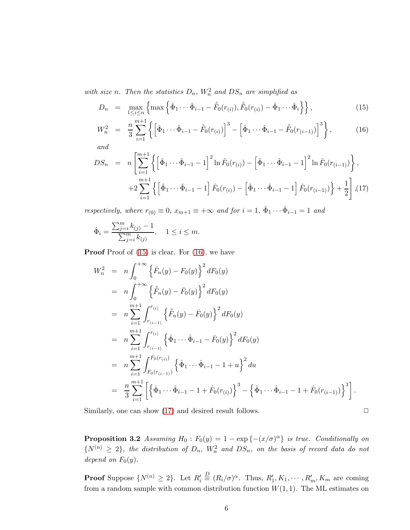with size *n*. Then the statistics  $D_n$ ,  $W_n^2$  and  $DS_n$  are simplified as

<span id="page-5-0"></span>
$$
D_n = \max_{1 \le i \le n} \left\{ \max \left\{ \hat{\Phi}_1 \cdots \hat{\Phi}_{i-1} - \hat{F}_0(r_{(i)}), \hat{F}_0(r_{(i)}) - \hat{\Phi}_1 \cdots \hat{\Phi}_i \right\} \right\},
$$
(15)

$$
W_n^2 = \frac{n}{3} \sum_{i=1}^{m+1} \left\{ \left[ \hat{\Phi}_1 \cdots \hat{\Phi}_{i-1} - \hat{F}_0(r_{(i)}) \right]^3 - \left[ \hat{\Phi}_1 \cdots \hat{\Phi}_{i-1} - \hat{F}_0(r_{(i-1)}) \right]^3 \right\},\tag{16}
$$

*and*

$$
DS_n = n \left[ \sum_{i=1}^{m+1} \left\{ \left[ \hat{\Phi}_1 \cdots \hat{\Phi}_{i-1} - 1 \right]^2 \ln \hat{F}_0(r_{(i)}) - \left[ \hat{\Phi}_1 \cdots \hat{\Phi}_{i-1} - 1 \right]^2 \ln \hat{F}_0(r_{(i-1)}) \right\},
$$
  
+2 
$$
\sum_{i=1}^{m+1} \left\{ \left[ \hat{\Phi}_1 \cdots \hat{\Phi}_{i-1} - 1 \right] \hat{F}_0(r_{(i)}) - \left[ \hat{\Phi}_1 \cdots \hat{\Phi}_{i-1} - 1 \right] \hat{F}_0(r_{(i-1)}) \right\} + \frac{1}{2} \right],
$$
(17)

*respectively, where*  $r_{(0)} \equiv 0$ ,  $x_{m+1} \equiv +\infty$  *and for*  $i = 1$ ,  $\hat{\Phi}_1 \cdots \hat{\Phi}_{i-1} = 1$  *and* 

$$
\hat{\Phi}_i = \frac{\sum_{j=i}^m k_{(j)} - 1}{\sum_{j=i}^m k_{(j)}}, \quad 1 \le i \le m.
$$

Proof Proof of  $(15)$  is clear. For  $(16)$ , we have

$$
W_n^2 = n \int_0^{+\infty} \left\{ \hat{F}_n(y) - F_0(y) \right\}^2 dF_0(y)
$$
  
\n
$$
= n \int_0^{+\infty} \left\{ \hat{F}_n(y) - \bar{F}_0(y) \right\}^2 dF_0(y)
$$
  
\n
$$
= n \sum_{i=1}^{m+1} \int_{r_{(i-1)}}^{r_{(i)}} \left\{ \hat{F}_n(y) - \bar{F}_0(y) \right\}^2 dF_0(y)
$$
  
\n
$$
= n \sum_{i=1}^{m+1} \int_{r_{(i-1)}}^{r_{(i)}} \left\{ \hat{\Phi}_1 \cdots \hat{\Phi}_{i-1} - \bar{F}_0(y) \right\}^2 dF_0(y)
$$
  
\n
$$
= n \sum_{i=1}^{m+1} \int_{F_0(r_{(i-1)})}^{F_0(r_{(i)})} \left\{ \hat{\Phi}_1 \cdots \hat{\Phi}_{i-1} - 1 + u \right\}^2 du
$$
  
\n
$$
= \frac{n}{3} \sum_{i=1}^{m+1} \left[ \left\{ \hat{\Phi}_1 \cdots \hat{\Phi}_{i-1} - 1 + \hat{F}_0(r_{(i)}) \right\}^3 - \left\{ \hat{\Phi}_1 \cdots \hat{\Phi}_{i-1} - 1 + \hat{F}_0(r_{(i-1)}) \right\}^3 \right].
$$

<span id="page-5-1"></span>Similarly, one can show  $(17)$  and desired result follows.  $\Box$ 

**Proposition 3.2** *Assuming*  $H_0: F_0(y) = 1 - \exp\{- (x/\sigma)^{\alpha}\}\$ is true. Conditionally on  $\{N^{(n)} \geq 2\}$ , the distribution of  $D_n$ ,  $W_n^2$  and  $DS_n$ , on the basis of record data do not *depend on*  $F_0(y)$ *.* 

**Proof** Suppose  $\{N^{(n)} \geq 2\}$ . Let  $R'_i$  $\stackrel{D}{=} (R_i/\sigma)^\alpha$ . Thus,  $R'_1, K_1, \cdots, R'_m, K_m$  are coming from a random sample with common distribution function  $W(1, 1)$ . The ML estimates on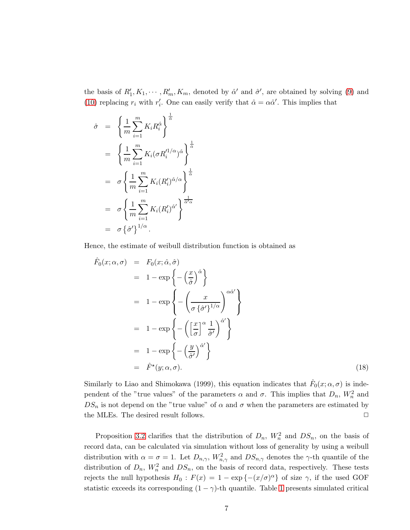the basis of  $R'_1, K_1, \cdots, R'_m, K_m$ , denoted by  $\hat{\alpha}'$  and  $\hat{\sigma}'$ , are obtained by solving [\(9\)](#page-3-2) and [\(10\)](#page-3-1) replacing  $r_i$  with  $r'_i$ . One can easily verify that  $\hat{\alpha} = \alpha \hat{\alpha}'$ . This implies that

$$
\hat{\sigma} = \left\{ \frac{1}{m} \sum_{i=1}^{m} K_i R_i^{\hat{\alpha}} \right\}^{\frac{1}{\hat{\alpha}}}
$$
  
\n
$$
= \left\{ \frac{1}{m} \sum_{i=1}^{m} K_i (\sigma R_i'^{1/\alpha})^{\hat{\alpha}} \right\}^{\frac{1}{\hat{\alpha}}}
$$
  
\n
$$
= \sigma \left\{ \frac{1}{m} \sum_{i=1}^{m} K_i (R_i')^{\hat{\alpha}/\alpha} \right\}^{\frac{1}{\hat{\alpha}}}
$$
  
\n
$$
= \sigma \left\{ \frac{1}{m} \sum_{i=1}^{m} K_i (R_i')^{\hat{\alpha}'} \right\}^{\frac{1}{\hat{\alpha}' \alpha}}
$$
  
\n
$$
= \sigma \left\{ \hat{\sigma}' \right\}^{\frac{1}{\hat{\alpha}' \alpha}}.
$$

Hence, the estimate of weibull distribution function is obtained as

$$
\hat{F}_0(x; \alpha, \sigma) = F_0(x; \hat{\alpha}, \hat{\sigma}) \n= 1 - \exp\left\{-\left(\frac{x}{\hat{\sigma}}\right)^{\hat{\alpha}}\right\} \n= 1 - \exp\left\{-\left(\frac{x}{\sigma \{\hat{\sigma}'\}^{1/\alpha}}\right)^{\alpha \hat{\alpha}'}\right\} \n= 1 - \exp\left\{-\left(\left[\frac{x}{\sigma}\right]^{\alpha} \frac{1}{\hat{\sigma}'}\right)^{\hat{\alpha}'}\right\} \n= 1 - \exp\left\{-\left(\frac{y}{\hat{\sigma}'}\right)^{\hat{\alpha}'}\right\} \n= \hat{F}^{\star}(y; \alpha, \sigma).
$$
\n(18)

Similarly to Liao and Shimokawa (1999), this equation indicates that  $\hat{F}_0(x; \alpha, \sigma)$  is independent of the "true values" of the parameters  $\alpha$  and  $\sigma$ . This implies that  $D_n$ ,  $W_n^2$  and  $DS_n$  is not depend on the "true value" of  $\alpha$  and  $\sigma$  when the parameters are estimated by the MLEs. The desired result follows.  $\Box$ 

Proposition [3.2](#page-5-1) clarifies that the distribution of  $D_n$ ,  $W_n^2$  and  $DS_n$ , on the basis of record data, can be calculated via simulation without loss of generality by using a weibull distribution with  $\alpha = \sigma = 1$ . Let  $D_{n,\gamma}$ ,  $W_{n,\gamma}^2$  and  $DS_{n,\gamma}$  denotes the  $\gamma$ -th quantile of the distribution of  $D_n$ ,  $W_n^2$  and  $DS_n$ , on the basis of record data, respectively. These tests rejects the null hypothesis  $H_0$ :  $F(x) = 1 - \exp\{- (x/\sigma)^{\alpha}\}\$ of size  $\gamma$ , if the used GOF statistic exceeds its corresponding  $(1 - \gamma)$ -th quantile. Table [1](#page-7-0) presents simulated critical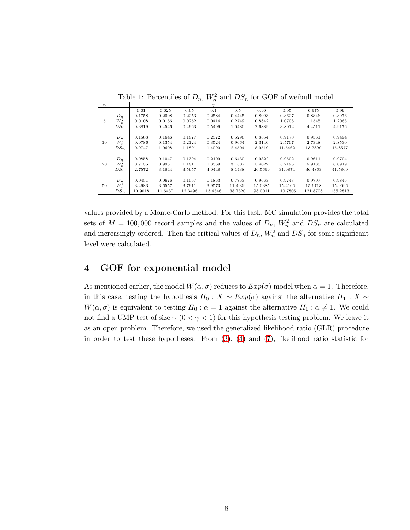| $\, n \,$ |                      |         |         |         | $\gamma$ |         |         |          |          |          |
|-----------|----------------------|---------|---------|---------|----------|---------|---------|----------|----------|----------|
|           |                      | 0.01    | 0.025   | 0.05    | 0.1      | 0.5     | 0.90    | 0.95     | 0.975    | 0.99     |
|           | $D_n$                | 0.1758  | 0.2008  | 0.2253  | 0.2584   | 0.4445  | 0.8093  | 0.8627   | 0.8846   | 0.8976   |
| 5         | $\boldsymbol{W}^2_n$ | 0.0108  | 0.0166  | 0.0252  | 0.0414   | 0.2749  | 0.8842  | 1.0706   | 1.1545   | 1.2063   |
|           | $DS_n$               | 0.3819  | 0.4546  | 0.4963  | 0.5499   | 1.0480  | 2.6889  | 3.8012   | 4.4511   | 4.9176   |
|           | $D_n$                | 0.1508  | 0.1646  | 0.1877  | 0.2372   | 0.5296  | 0.8854  | 0.9170   | 0.9361   | 0.9494   |
| 10        | $W_n^2$              | 0.0786  | 0.1354  | 0.2124  | 0.3524   | 0.9664  | 2.3140  | 2.5707   | 2.7348   | 2.8530   |
|           | $DS_n$               | 0.9747  | 1.0608  | 1.1891  | 1.4090   | 2.4504  | 8.9519  | 11.5462  | 13.7890  | 15.8577  |
|           | $D_n$                | 0.0858  | 0.1047  | 0.1394  | 0.2109   | 0.6430  | 0.9322  | 0.9502   | 0.9611   | 0.9704   |
| 20        | $W_n^2$              | 0.7155  | 0.9951  | 1.1811  | 1.3369   | 3.1507  | 5.4022  | 5.7196   | 5.9185   | 6.0919   |
|           | $DS_n$               | 2.7572  | 3.1844  | 3.5657  | 4.0448   | 8.1438  | 26.5699 | 31.9874  | 36.4863  | 41.5800  |
|           | $D_n$                | 0.0451  | 0.0676  | 0.1067  | 0.1863   | 0.7763  | 0.9663  | 0.9743   | 0.9797   | 0.9846   |
| 50        | $W_n^2$              | 3.4983  | 3.6557  | 3.7911  | 3.9573   | 11.4929 | 15.0385 | 15.4166  | 15.6718  | 15.9096  |
|           | $DS_n$               | 10.9018 | 11.6437 | 12.3496 | 13.4346  | 38.7320 | 98.0011 | 110.7805 | 121.8708 | 135.2813 |

<span id="page-7-0"></span>Table 1: Percentiles of  $D_n$ ,  $W_n^2$  and  $DS_n$  for GOF of weibull model.

values provided by a Monte-Carlo method. For this task, MC simulation provides the total sets of  $M = 100,000$  record samples and the values of  $D_n$ ,  $W_n^2$  and  $DS_n$  are calculated and increasingly ordered. Then the critical values of  $D_n$ ,  $W_n^2$  and  $DS_n$  for some significant level were calculated.

# <span id="page-7-1"></span>4 GOF for exponential model

As mentioned earlier, the model  $W(\alpha, \sigma)$  reduces to  $Exp(\sigma)$  model when  $\alpha = 1$ . Therefore, in this case, testing the hypothesis  $H_0 : X \sim Exp(\sigma)$  against the alternative  $H_1 : X \sim$  $W(\alpha, \sigma)$  is equivalent to testing  $H_0: \alpha = 1$  against the alternative  $H_1: \alpha \neq 1$ . We could not find a UMP test of size  $\gamma$  ( $0 < \gamma < 1$ ) for this hypothesis testing problem. We leave it as an open problem. Therefore, we used the generalized likelihood ratio (GLR) procedure in order to test these hypotheses. From [\(3\)](#page-1-0), [\(4\)](#page-1-1) and [\(7\)](#page-3-3), likelihood ratio statistic for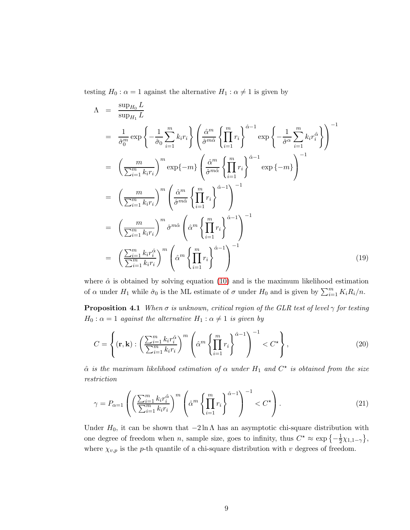testing  $H_0$ :  $\alpha = 1$  against the alternative  $H_1$ :  $\alpha \neq 1$  is given by

$$
\Lambda = \frac{\sup_{H_0} L}{\sup_{H_1} L}
$$
\n
$$
= \frac{1}{\hat{\sigma}_0^m} \exp\left\{-\frac{1}{\hat{\sigma}_0} \sum_{i=1}^m k_i r_i\right\} \left(\frac{\hat{\alpha}^m}{\hat{\sigma}^{m\hat{\alpha}}} \left\{\prod_{i=1}^m r_i\right\}^{\hat{\alpha}-1} \exp\left\{-\frac{1}{\hat{\sigma}^{\alpha}} \sum_{i=1}^m k_i r_i^{\hat{\alpha}}\right\}\right)^{-1}
$$
\n
$$
= \left(\frac{m}{\sum_{i=1}^m k_i r_i}\right)^m \exp\{-m\} \left(\frac{\hat{\alpha}^m}{\hat{\sigma}^{m\hat{\alpha}}} \left\{\prod_{i=1}^m r_i\right\}^{\hat{\alpha}-1} \exp\{-m\}\right)^{-1}
$$
\n
$$
= \left(\frac{m}{\sum_{i=1}^m k_i r_i}\right)^m \left(\frac{\hat{\alpha}^m}{\hat{\sigma}^{m\hat{\alpha}}} \left\{\prod_{i=1}^m r_i\right\}^{\hat{\alpha}-1}\right)^{-1}
$$
\n
$$
= \left(\frac{m}{\sum_{i=1}^m k_i r_i}\right)^m \hat{\sigma}^{m\hat{\alpha}} \left(\hat{\alpha}^m \left\{\prod_{i=1}^m r_i\right\}^{\hat{\alpha}-1}\right)^{-1}
$$
\n
$$
= \left(\frac{\sum_{i=1}^m k_i r_i^{\hat{\alpha}}}{\sum_{i=1}^m k_i r_i}\right)^m \left(\hat{\alpha}^m \left\{\prod_{i=1}^m r_i\right\}^{\hat{\alpha}-1}\right)^{-1}
$$
\n(19)

where  $\hat{\alpha}$  is obtained by solving equation [\(10\)](#page-3-1) and is the maximum likelihood estimation of  $\alpha$  under  $H_1$  while  $\hat{\sigma}_0$  is the ML estimate of  $\sigma$  under  $H_0$  and is given by  $\sum_{i=1}^m K_i R_i/n$ .

**Proposition 4.1** *When*  $\sigma$  *is unknown, critical region of the GLR test of level*  $\gamma$  *for testing*  $H_0: \alpha = 1$  *against the alternative*  $H_1: \alpha \neq 1$  *is given by* 

$$
C = \left\{ (\mathbf{r}, \mathbf{k}) : \left( \frac{\sum_{i=1}^{m} k_i r_i^{\hat{\alpha}}}{\sum_{i=1}^{m} k_i r_i} \right)^m \left( \hat{\alpha}^m \left\{ \prod_{i=1}^{m} r_i \right\}^{\hat{\alpha}-1} \right)^{-1} < C^{\star} \right\},\tag{20}
$$

 $\hat{\alpha}$  *is the maximum likelihood estimation of*  $\alpha$  *under*  $H_1$  *and*  $C^*$  *is obtained from the size restriction*

$$
\gamma = P_{\alpha=1} \left( \left( \frac{\sum_{i=1}^{m} k_i r_i^{\hat{\alpha}}}{\sum_{i=1}^{m} k_i r_i} \right)^m \left( \hat{\alpha}^m \left\{ \prod_{i=1}^{m} r_i \right\}^{\hat{\alpha}-1} \right)^{-1} < C^{\star} \right). \tag{21}
$$

Under  $H_0$ , it can be shown that  $-2 \ln \Lambda$  has an asymptotic chi-square distribution with one degree of freedom when *n*, sample size, goes to infinity, thus  $C^* \approx \exp\left\{-\frac{1}{2}\right\}$  $\frac{1}{2}\chi_{1,1-\gamma}\},\,$ where  $\chi_{v,p}$  is the p-th quantile of a chi-square distribution with v degrees of freedom.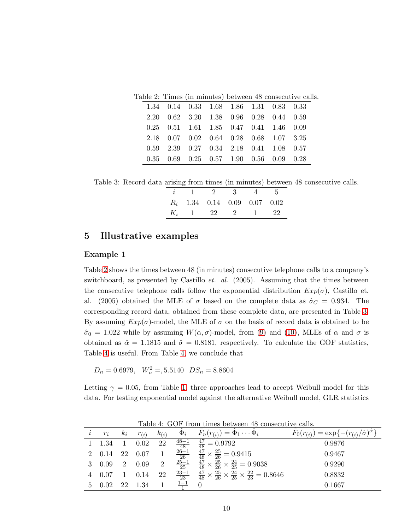Table 2: Times (in minutes) between 48 consecutive calls.

<span id="page-9-0"></span>

|  | 1.34 0.14 0.33 1.68 1.86 1.31 0.83 0.33                 |  |  |  |
|--|---------------------------------------------------------|--|--|--|
|  | 2.20 0.62 3.20 1.38 0.96 0.28 0.44 0.59                 |  |  |  |
|  | 0.25 0.51 1.61 1.85 0.47 0.41 1.46 0.09                 |  |  |  |
|  | 2.18 0.07 0.02 0.64 0.28 0.68 1.07 3.25                 |  |  |  |
|  | 0.59 2.39 0.27 0.34 2.18 0.41 1.08 0.57                 |  |  |  |
|  | $0.35$ $0.69$ $0.25$ $0.57$ $1.90$ $0.56$ $0.09$ $0.28$ |  |  |  |

<span id="page-9-1"></span>Table 3: Record data arising from times (in minutes) between 48 consecutive calls.

|  |  | $i \quad 1 \quad 2 \quad 3 \quad 4 \quad 5$ |  |
|--|--|---------------------------------------------|--|
|  |  | $R_i$ 1.34 0.14 0.09 0.07 0.02              |  |
|  |  | $K_i$ 1 22 2 1 22                           |  |

# 5 Illustrative examples

#### Example 1

Table [2](#page-9-0) shows the times between 48 (in minutes) consecutive telephone calls to a company's switchboard, as presented by Castillo *et. al.* (2005). Assuming that the times between the consecutive telephone calls follow the exponential distribution  $Exp(\sigma)$ , Castillo et. al. (2005) obtained the MLE of  $\sigma$  based on the complete data as  $\hat{\sigma}_C = 0.934$ . The corresponding record data, obtained from these complete data, are presented in Table [3.](#page-9-1) By assuming  $Exp(\sigma)$ -model, the MLE of  $\sigma$  on the basis of record data is obtained to be  $\hat{\sigma}_0 = 1.022$  while by assuming  $W(\alpha, \sigma)$ -model, from [\(9\)](#page-3-2) and [\(10\)](#page-3-1), MLEs of  $\alpha$  and  $\sigma$  is obtained as  $\hat{\alpha} = 1.1815$  and  $\hat{\sigma} = 0.8181$ , respectively. To calculate the GOF statistics, Table [4](#page-9-2) is useful. From Table [4,](#page-9-2) we conclude that

$$
D_n = 0.6979
$$
,  $W_n^2 = 5.5140$   $DS_n = 8.8604$ 

Letting  $\gamma = 0.05$ , from Table [1,](#page-7-0) three approaches lead to accept Weibull model for this data. For testing exponential model against the alternative Weibull model, GLR statistics

|          |                                        |       |             |           |                 | Table 4: GUF from times between 48 consecutive calls.                                                     |                                                                           |
|----------|----------------------------------------|-------|-------------|-----------|-----------------|-----------------------------------------------------------------------------------------------------------|---------------------------------------------------------------------------|
| $\imath$ | $r_i$                                  | $k_i$ | $r_{(i)}$   | $k_{(i)}$ |                 | $\Phi_i$ $F_n(r_{(i)}) = \Phi_1 \cdots \Phi_i$                                                            | $F_0(r_{(i)}) = \exp\{-\frac{(r_{(i)}/\hat{\sigma})^{\hat{\alpha}}}{2}\}$ |
|          | $1 \t1.34 \t1$                         |       | $0.02 \ 22$ |           |                 | $\frac{48-1}{48}$ $\frac{47}{48}$ = 0.9792                                                                | 0.9876                                                                    |
|          |                                        |       |             |           |                 | 2 0.14 22 0.07 1 $\frac{26-1}{26}$ $\frac{47}{48} \times \frac{25}{26} = 0.9415$                          | 0.9467                                                                    |
|          | 3 0.09 2 0.09 2                        |       |             |           |                 | $\frac{25-1}{25}$ $\frac{47}{48} \times \frac{25}{26} \times \frac{24}{25} = 0.9038$                      | 0.9290                                                                    |
|          | $4\quad 0.07\quad 1$                   |       | $0.14$ 22   |           |                 | $\frac{23-1}{23}$ $\frac{47}{48} \times \frac{25}{26} \times \frac{24}{25} \times \frac{22}{23} = 0.8646$ | 0.8832                                                                    |
|          | $5\quad 0.02\quad 22\quad 1.34\quad 1$ |       |             |           | $\frac{1-1}{1}$ | $\theta$                                                                                                  | 0.1667                                                                    |

<span id="page-9-2"></span>Table 4: GOF from times between 48 consecutive calls.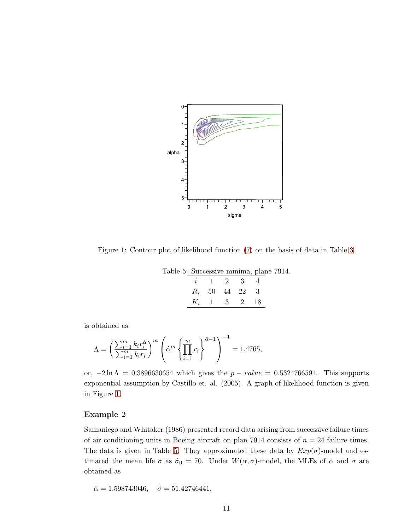

<span id="page-10-0"></span>Figure 1: Contour plot of likelihood function [\(7\)](#page-3-3) on the basis of data in Table [3.](#page-9-1)

<span id="page-10-1"></span>

| Table 5: Successive minima, plane 7914. |  |                                     |  |  |
|-----------------------------------------|--|-------------------------------------|--|--|
|                                         |  | $i \quad 1 \quad 2 \quad 3 \quad 4$ |  |  |
|                                         |  | $R_i$ 50 44 22 3                    |  |  |
|                                         |  | $K_i$ 1 3 2 18                      |  |  |

is obtained as

$$
\Lambda = \left(\frac{\sum_{i=1}^{m} k_i r_i^{\hat{\alpha}}}{\sum_{i=1}^{m} k_i r_i}\right)^m \left(\hat{\alpha}^m \left\{\prod_{i=1}^{m} r_i\right\}^{\hat{\alpha}-1}\right)^{-1} = 1.4765,
$$

or,  $-2 \ln \Lambda = 0.3896630654$  which gives the  $p-value = 0.5324766591$ . This supports exponential assumption by Castillo et. al. (2005). A graph of likelihood function is given in Figure [1.](#page-10-0)

### Example 2

Samaniego and Whitaker (1986) presented record data arising from successive failure times of air conditioning units in Boeing aircraft on plan 7914 consists of  $n = 24$  failure times. The data is given in Table [5.](#page-10-1) They approximated these data by  $Exp(\sigma)$ -model and estimated the mean life  $\sigma$  as  $\hat{\sigma}_0 = 70$ . Under  $W(\alpha, \sigma)$ -model, the MLEs of  $\alpha$  and  $\sigma$  are obtained as

 $\hat{\alpha} = 1.598743046, \quad \hat{\sigma} = 51.42746441,$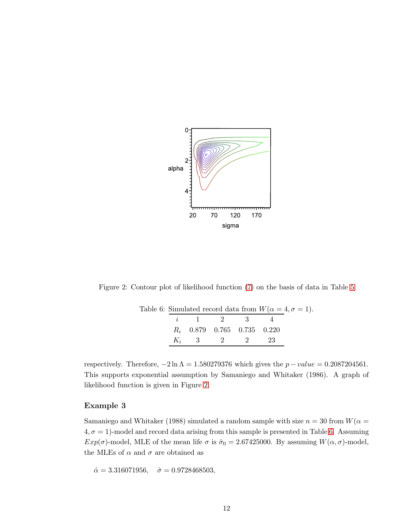

Figure 2: Contour plot of likelihood function [\(7\)](#page-3-3) on the basis of data in Table [5](#page-10-1)

<span id="page-11-1"></span><span id="page-11-0"></span>

|  | Table 6: Simulated record data from $W(\alpha = 4, \sigma = 1)$ . |  |  |
|--|-------------------------------------------------------------------|--|--|
|  | $i \quad 1 \quad 2 \quad 3 \quad 4$                               |  |  |
|  | $R_i$ 0.879 0.765 0.735 0.220                                     |  |  |
|  | $K_i$ 3 2 2 2 2 2                                                 |  |  |

respectively. Therefore,  $-2 \ln \Lambda = 1.580279376$  which gives the  $p-value = 0.2087204561$ . This supports exponential assumption by Samaniego and Whitaker (1986). A graph of likelihood function is given in Figure [2.](#page-11-0)

### Example 3

Samaniego and Whitaker (1988) simulated a random sample with size  $n = 30$  from  $W(\alpha =$  $4, \sigma = 1$ )-model and record data arising from this sample is presented in Table [6.](#page-11-1) Assuming  $Exp(\sigma)$ -model, MLE of the mean life  $\sigma$  is  $\hat{\sigma}_0 = 2.67425000$ . By assuming  $W(\alpha, \sigma)$ -model, the MLEs of  $\alpha$  and  $\sigma$  are obtained as

 $\hat{\alpha} = 3.316071956, \quad \hat{\sigma} = 0.9728468503,$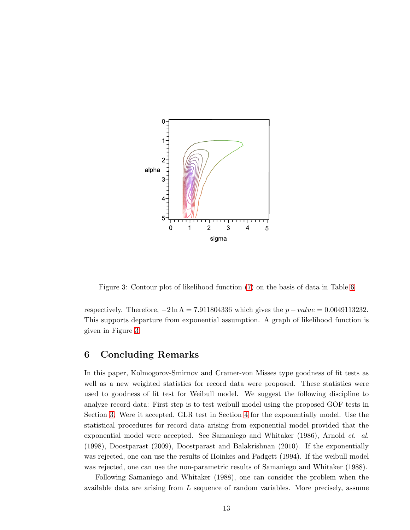

<span id="page-12-0"></span>Figure 3: Contour plot of likelihood function [\(7\)](#page-3-3) on the basis of data in Table [6](#page-11-1)

respectively. Therefore,  $-2 \ln \Lambda = 7.911804336$  which gives the  $p-value = 0.0049113232$ . This supports departure from exponential assumption. A graph of likelihood function is given in Figure [3.](#page-12-0)

## 6 Concluding Remarks

In this paper, Kolmogorov-Smirnov and Cramer-von Misses type goodness of fit tests as well as a new weighted statistics for record data were proposed. These statistics were used to goodness of fit test for Weibull model. We suggest the following discipline to analyze record data: First step is to test weibull model using the proposed GOF tests in Section [3.](#page-4-2) Were it accepted, GLR test in Section [4](#page-7-1) for the exponentially model. Use the statistical procedures for record data arising from exponential model provided that the exponential model were accepted. See Samaniego and Whitaker (1986), Arnold *et. al.* (1998), Doostparast (2009), Doostparast and Balakrishnan (2010). If the exponentially was rejected, one can use the results of Hoinkes and Padgett (1994). If the weibull model was rejected, one can use the non-parametric results of Samaniego and Whitaker (1988).

Following Samaniego and Whitaker (1988), one can consider the problem when the available data are arising from L sequence of random variables. More precisely, assume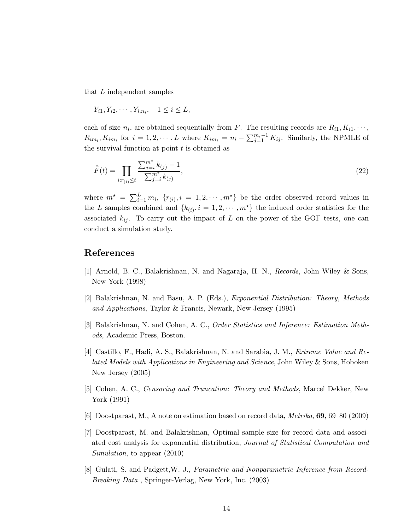that L independent samples

$$
Y_{i1}, Y_{i2}, \cdots, Y_{i,n_i}, \quad 1 \leq i \leq L,
$$

each of size  $n_i$ , are obtained sequentially from F. The resulting records are  $R_{i1}, K_{i1}, \cdots$ ,  $R_{im_i}, K_{im_i}$  for  $i = 1, 2, \cdots, L$  where  $K_{im_i} = n_i - \sum_{j=1}^{m_i-1} K_{ij}$ . Similarly, the NPMLE of the survival function at point  $t$  is obtained as

$$
\hat{F}(t) = \prod_{i:r_{(i)} \le t} \frac{\sum_{j=i}^{m^*} k_{(j)} - 1}{\sum_{j=i}^{m^*} k_{(j)}},
$$
\n(22)

where  $m^* = \sum_{i=1}^L m_i$ ,  $\{r_{(i)}, i = 1, 2, \cdots, m^*\}$  be the order observed record values in the L samples combined and  $\{k_{(i)}, i = 1, 2, \cdots, m^*\}$  the induced order statistics for the associated  $k_{ij}$ . To carry out the impact of L on the power of the GOF tests, one can conduct a simulation study.

## References

- [1] Arnold, B. C., Balakrishnan, N. and Nagaraja, H. N., *Records*, John Wiley & Sons, New York (1998)
- [2] Balakrishnan, N. and Basu, A. P. (Eds.), *Exponential Distribution: Theory, Methods and Applications*, Taylor & Francis, Newark, New Jersey (1995)
- [3] Balakrishnan, N. and Cohen, A. C., *Order Statistics and Inference: Estimation Methods*, Academic Press, Boston.
- [4] Castillo, F., Hadi, A. S., Balakrishnan, N. and Sarabia, J. M., *Extreme Value and Related Models with Applications in Engineering and Science*, John Wiley & Sons, Hoboken New Jersey (2005)
- [5] Cohen, A. C., *Censoring and Truncation: Theory and Methods*, Marcel Dekker, New York (1991)
- [6] Doostparast, M., A note on estimation based on record data, *Metrika*, 69, 69–80 (2009)
- [7] Doostparast, M. and Balakrishnan, Optimal sample size for record data and associated cost analysis for exponential distribution, *Journal of Statistical Computation and Simulation*, to appear (2010)
- [8] Gulati, S. and Padgett,W. J., *Parametric and Nonparametric Inference from Record-Breaking Data* , Springer-Verlag, New York, Inc. (2003)